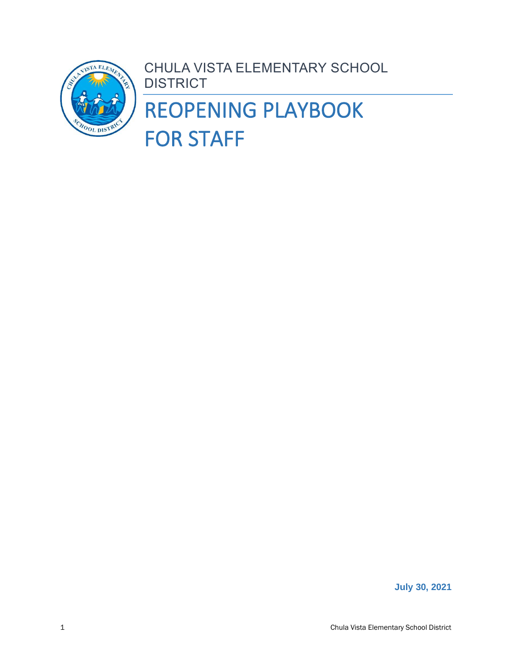

**July 30, 2021**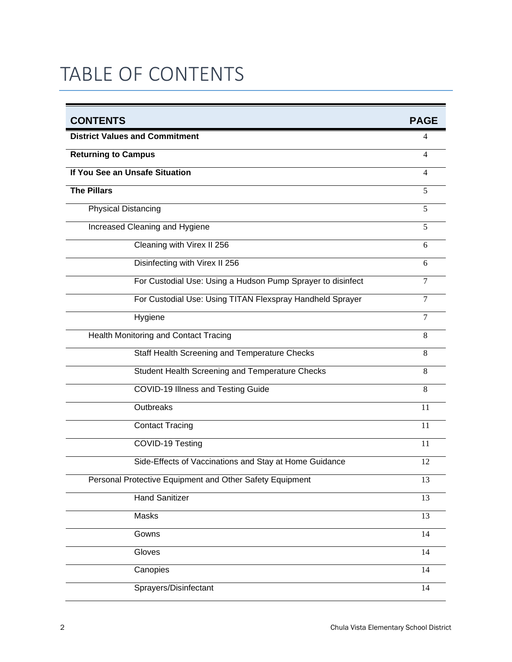# TABLE OF CONTENTS

| <b>CONTENTS</b>                                             | <b>PAGE</b> |
|-------------------------------------------------------------|-------------|
| <b>District Values and Commitment</b>                       | 4           |
| <b>Returning to Campus</b>                                  | 4           |
| If You See an Unsafe Situation                              | 4           |
| <b>The Pillars</b>                                          | 5           |
| <b>Physical Distancing</b>                                  | 5           |
| Increased Cleaning and Hygiene                              | 5           |
| Cleaning with Virex II 256                                  | 6           |
| Disinfecting with Virex II 256                              | 6           |
| For Custodial Use: Using a Hudson Pump Sprayer to disinfect | 7           |
| For Custodial Use: Using TITAN Flexspray Handheld Sprayer   | 7           |
| Hygiene                                                     | 7           |
| Health Monitoring and Contact Tracing                       | 8           |
| Staff Health Screening and Temperature Checks               | 8           |
| Student Health Screening and Temperature Checks             | 8           |
| COVID-19 Illness and Testing Guide                          | 8           |
| Outbreaks                                                   | 11          |
| <b>Contact Tracing</b>                                      | 11          |
| COVID-19 Testing                                            | 11          |
| Side-Effects of Vaccinations and Stay at Home Guidance      | 12          |
| Personal Protective Equipment and Other Safety Equipment    | 13          |
| <b>Hand Sanitizer</b>                                       | 13          |
| Masks                                                       | 13          |
| Gowns                                                       | 14          |
| Gloves                                                      | 14          |
| Canopies                                                    | 14          |
| Sprayers/Disinfectant                                       | 14          |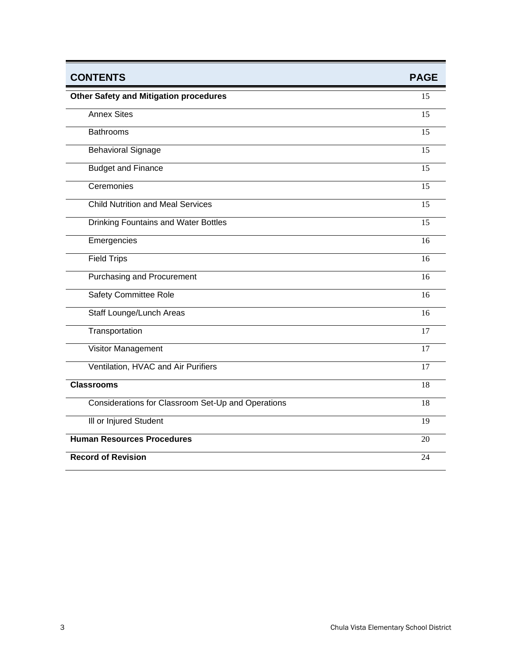| <b>CONTENTS</b>                                    | <b>PAGE</b>     |
|----------------------------------------------------|-----------------|
| <b>Other Safety and Mitigation procedures</b>      | 15              |
| <b>Annex Sites</b>                                 | 15              |
| <b>Bathrooms</b>                                   | 15              |
| <b>Behavioral Signage</b>                          | 15              |
| <b>Budget and Finance</b>                          | 15              |
| Ceremonies                                         | 15              |
| <b>Child Nutrition and Meal Services</b>           | 15              |
| <b>Drinking Fountains and Water Bottles</b>        | 15              |
| Emergencies                                        | 16              |
| <b>Field Trips</b>                                 | 16              |
| <b>Purchasing and Procurement</b>                  | 16              |
| <b>Safety Committee Role</b>                       | 16              |
| Staff Lounge/Lunch Areas                           | 16              |
| Transportation                                     | 17              |
| Visitor Management                                 | $\overline{17}$ |
| Ventilation, HVAC and Air Purifiers                | 17              |
| <b>Classrooms</b>                                  | 18              |
| Considerations for Classroom Set-Up and Operations | 18              |
| Ill or Injured Student                             | 19              |
| <b>Human Resources Procedures</b>                  | 20              |
| <b>Record of Revision</b>                          | 24              |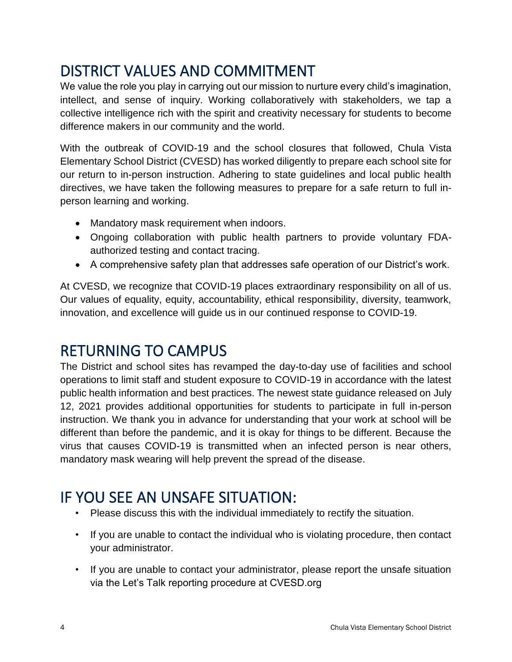# DISTRICT VALUES AND COMMITMENT

We value the role you play in carrying out our mission to nurture every child's imagination, intellect, and sense of inquiry. Working collaboratively with stakeholders, we tap a collective intelligence rich with the spirit and creativity necessary for students to become difference makers in our community and the world.

With the outbreak of COVID-19 and the school closures that followed, Chula Vista Elementary School District (CVESD) has worked diligently to prepare each school site for our return to in-person instruction. Adhering to state guidelines and local public health directives, we have taken the following measures to prepare for a safe return to full inperson learning and working.

- Mandatory mask requirement when indoors.
- Ongoing collaboration with public health partners to provide voluntary FDAauthorized testing and contact tracing.
- A comprehensive safety plan that addresses safe operation of our District's work.

At CVESD, we recognize that COVID-19 places extraordinary responsibility on all of us. Our values of equality, equity, accountability, ethical responsibility, diversity, teamwork, innovation, and excellence will guide us in our continued response to COVID-19.

# RETURNING TO CAMPUS

The District and school sites has revamped the day-to-day use of facilities and school operations to limit staff and student exposure to COVID-19 in accordance with the latest public health information and best practices. The newest state guidance released on July 12, 2021 provides additional opportunities for students to participate in full in-person instruction. We thank you in advance for understanding that your work at school will be different than before the pandemic, and it is okay for things to be different. Because the virus that causes COVID-19 is transmitted when an infected person is near others, mandatory mask wearing will help prevent the spread of the disease.

# IF YOU SEE AN UNSAFE SITUATION:

- Please discuss this with the individual immediately to rectify the situation.
- If you are unable to contact the individual who is violating procedure, then contact your administrator.
- If you are unable to contact your administrator, please report the unsafe situation via the Let's Talk reporting procedure at CVESD.org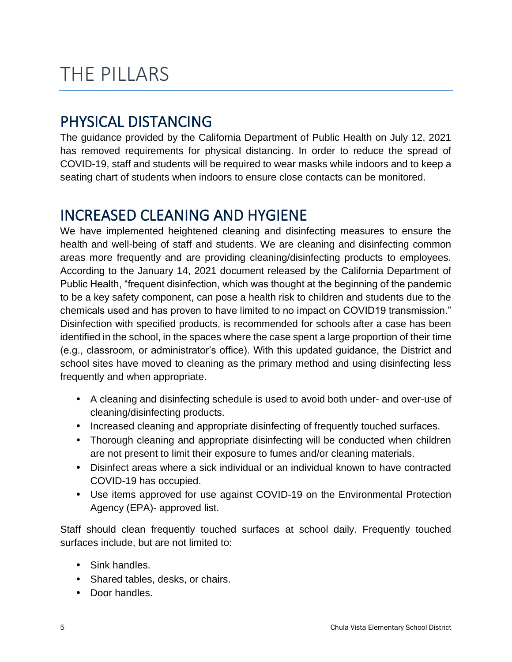# THE PILLARS

# PHYSICAL DISTANCING

The guidance provided by the California Department of Public Health on July 12, 2021 has removed requirements for physical distancing. In order to reduce the spread of COVID-19, staff and students will be required to wear masks while indoors and to keep a seating chart of students when indoors to ensure close contacts can be monitored.

# INCREASED CLEANING AND HYGIENE

We have implemented heightened cleaning and disinfecting measures to ensure the health and well-being of staff and students. We are cleaning and disinfecting common areas more frequently and are providing cleaning/disinfecting products to employees. According to the January 14, 2021 document released by the California Department of Public Health, "frequent disinfection, which was thought at the beginning of the pandemic to be a key safety component, can pose a health risk to children and students due to the chemicals used and has proven to have limited to no impact on COVID19 transmission." Disinfection with specified products, is recommended for schools after a case has been identified in the school, in the spaces where the case spent a large proportion of their time (e.g., classroom, or administrator's office). With this updated guidance, the District and school sites have moved to cleaning as the primary method and using disinfecting less frequently and when appropriate.

- A cleaning and disinfecting schedule is used to avoid both under- and over-use of cleaning/disinfecting products.
- Increased cleaning and appropriate disinfecting of frequently touched surfaces.
- Thorough cleaning and appropriate disinfecting will be conducted when children are not present to limit their exposure to fumes and/or cleaning materials.
- Disinfect areas where a sick individual or an individual known to have contracted COVID-19 has occupied.
- Use items approved for use against COVID-19 on the Environmental Protection Agency (EPA)- approved list.

Staff should clean frequently touched surfaces at school daily. Frequently touched surfaces include, but are not limited to:

- Sink handles.
- Shared tables, desks, or chairs.
- Door handles.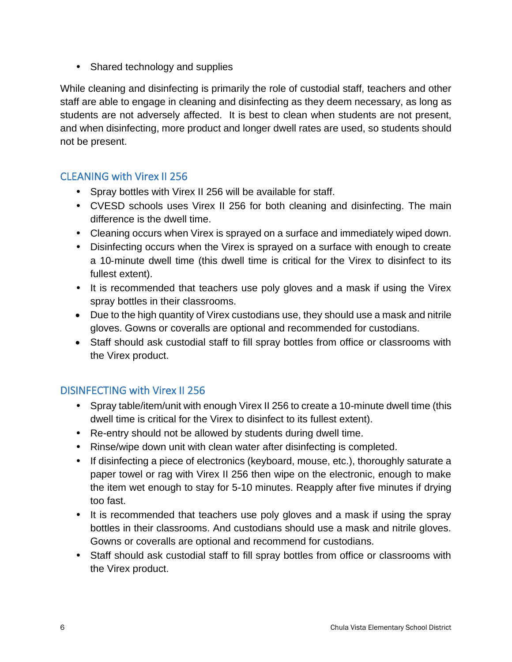• Shared technology and supplies

While cleaning and disinfecting is primarily the role of custodial staff, teachers and other staff are able to engage in cleaning and disinfecting as they deem necessary, as long as students are not adversely affected. It is best to clean when students are not present, and when disinfecting, more product and longer dwell rates are used, so students should not be present.

## CLEANING with Virex II 256

- Spray bottles with Virex II 256 will be available for staff.
- CVESD schools uses Virex II 256 for both cleaning and disinfecting. The main difference is the dwell time.
- Cleaning occurs when Virex is sprayed on a surface and immediately wiped down.
- Disinfecting occurs when the Virex is sprayed on a surface with enough to create a 10‐minute dwell time (this dwell time is critical for the Virex to disinfect to its fullest extent).
- It is recommended that teachers use poly gloves and a mask if using the Virex spray bottles in their classrooms.
- Due to the high quantity of Virex custodians use, they should use a mask and nitrile gloves. Gowns or coveralls are optional and recommended for custodians.
- Staff should ask custodial staff to fill spray bottles from office or classrooms with the Virex product.

## DISINFECTING with Virex II 256

- Spray table/item/unit with enough Virex II 256 to create a 10-minute dwell time (this dwell time is critical for the Virex to disinfect to its fullest extent).
- Re-entry should not be allowed by students during dwell time.
- Rinse/wipe down unit with clean water after disinfecting is completed.
- If disinfecting a piece of electronics (keyboard, mouse, etc.), thoroughly saturate a paper towel or rag with Virex II 256 then wipe on the electronic, enough to make the item wet enough to stay for 5-10 minutes. Reapply after five minutes if drying too fast.
- It is recommended that teachers use poly gloves and a mask if using the spray bottles in their classrooms. And custodians should use a mask and nitrile gloves. Gowns or coveralls are optional and recommend for custodians.
- Staff should ask custodial staff to fill spray bottles from office or classrooms with the Virex product.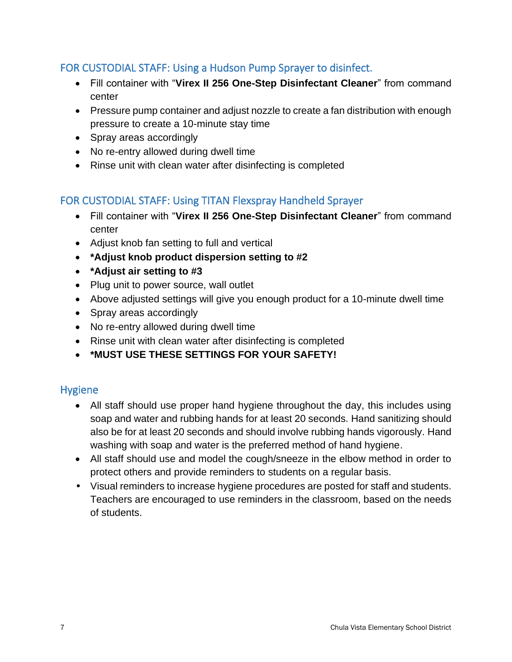# FOR CUSTODIAL STAFF: Using a Hudson Pump Sprayer to disinfect.

- Fill container with "**Virex II 256 One-Step Disinfectant Cleaner**" from command center
- Pressure pump container and adjust nozzle to create a fan distribution with enough pressure to create a 10-minute stay time
- Spray areas accordingly
- No re-entry allowed during dwell time
- Rinse unit with clean water after disinfecting is completed

# FOR CUSTODIAL STAFF: Using TITAN Flexspray Handheld Sprayer

- Fill container with "**Virex II 256 One-Step Disinfectant Cleaner**" from command center
- Adjust knob fan setting to full and vertical
- **\*Adjust knob product dispersion setting to #2**
- **\*Adjust air setting to #3**
- Plug unit to power source, wall outlet
- Above adjusted settings will give you enough product for a 10-minute dwell time
- Spray areas accordingly
- No re-entry allowed during dwell time
- Rinse unit with clean water after disinfecting is completed
- **\*MUST USE THESE SETTINGS FOR YOUR SAFETY!**

## Hygiene

- All staff should use proper hand hygiene throughout the day, this includes using soap and water and rubbing hands for at least 20 seconds. Hand sanitizing should also be for at least 20 seconds and should involve rubbing hands vigorously. Hand washing with soap and water is the preferred method of hand hygiene.
- All staff should use and model the cough/sneeze in the elbow method in order to protect others and provide reminders to students on a regular basis.
- Visual reminders to increase hygiene procedures are posted for staff and students. Teachers are encouraged to use reminders in the classroom, based on the needs of students.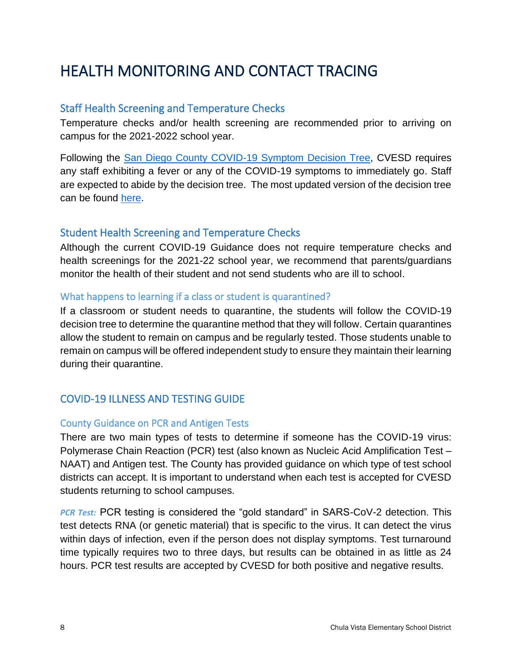# HEALTH MONITORING AND CONTACT TRACING

#### Staff Health Screening and Temperature Checks

Temperature checks and/or health screening are recommended prior to arriving on campus for the 2021-2022 school year.

Following the [San Diego County COVID-19 Symptom Decision Tree,](https://covid-19.sdcoe.net/Portals/covid-19/Documents/Health%20Practices/COVID-19-Decision-Tree.pdf) CVESD requires any staff exhibiting a fever or any of the COVID-19 symptoms to immediately go. Staff are expected to abide by the decision tree. The most updated version of the decision tree can be found [here.](https://covid-19.sdcoe.net/Portals/covid-19/Documents/Health%20Practices/COVID-19-Decision-Tree.pdf)

### Student Health Screening and Temperature Checks

Although the current COVID-19 Guidance does not require temperature checks and health screenings for the 2021-22 school year, we recommend that parents/guardians monitor the health of their student and not send students who are ill to school.

#### What happens to learning if a class or student is quarantined?

If a classroom or student needs to quarantine, the students will follow the COVID-19 decision tree to determine the quarantine method that they will follow. Certain quarantines allow the student to remain on campus and be regularly tested. Those students unable to remain on campus will be offered independent study to ensure they maintain their learning during their quarantine.

## COVID-19 ILLNESS AND TESTING GUIDE

#### County Guidance on PCR and Antigen Tests

There are two main types of tests to determine if someone has the COVID-19 virus: Polymerase Chain Reaction (PCR) test (also known as Nucleic Acid Amplification Test – NAAT) and Antigen test. The County has provided guidance on which type of test school districts can accept. It is important to understand when each test is accepted for CVESD students returning to school campuses.

*PCR Test:* PCR testing is considered the "gold standard" in SARS-CoV-2 detection. This test detects RNA (or genetic material) that is specific to the virus. It can detect the virus within days of infection, even if the person does not display symptoms. Test turnaround time typically requires two to three days, but results can be obtained in as little as 24 hours. PCR test results are accepted by CVESD for both positive and negative results.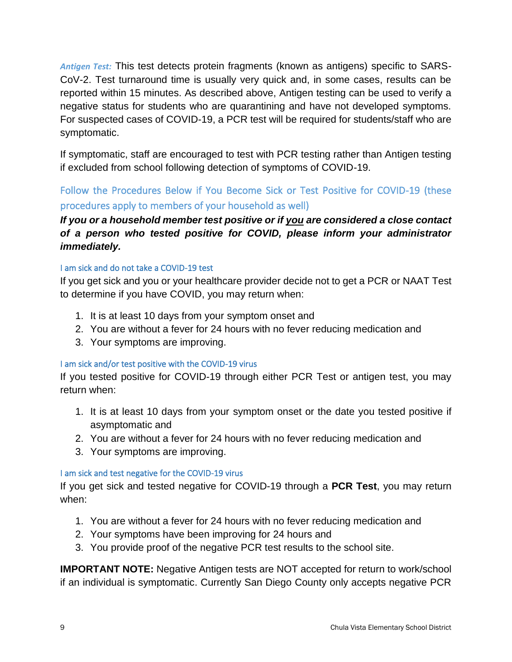*Antigen Test:* This test detects protein fragments (known as antigens) specific to SARS-CoV-2. Test turnaround time is usually very quick and, in some cases, results can be reported within 15 minutes. As described above, Antigen testing can be used to verify a negative status for students who are quarantining and have not developed symptoms. For suspected cases of COVID-19, a PCR test will be required for students/staff who are symptomatic.

If symptomatic, staff are encouraged to test with PCR testing rather than Antigen testing if excluded from school following detection of symptoms of COVID-19.

Follow the Procedures Below if You Become Sick or Test Positive for COVID-19 (these procedures apply to members of your household as well)

### *If you or a household member test positive or if you are considered a close contact of a person who tested positive for COVID, please inform your administrator immediately.*

#### I am sick and do not take a COVID-19 test

If you get sick and you or your healthcare provider decide not to get a PCR or NAAT Test to determine if you have COVID, you may return when:

- 1. It is at least 10 days from your symptom onset and
- 2. You are without a fever for 24 hours with no fever reducing medication and
- 3. Your symptoms are improving.

#### I am sick and/or test positive with the COVID-19 virus

If you tested positive for COVID-19 through either PCR Test or antigen test, you may return when:

- 1. It is at least 10 days from your symptom onset or the date you tested positive if asymptomatic and
- 2. You are without a fever for 24 hours with no fever reducing medication and
- 3. Your symptoms are improving.

#### I am sick and test negative for the COVID-19 virus

If you get sick and tested negative for COVID-19 through a **PCR Test**, you may return when:

- 1. You are without a fever for 24 hours with no fever reducing medication and
- 2. Your symptoms have been improving for 24 hours and
- 3. You provide proof of the negative PCR test results to the school site.

**IMPORTANT NOTE:** Negative Antigen tests are NOT accepted for return to work/school if an individual is symptomatic. Currently San Diego County only accepts negative PCR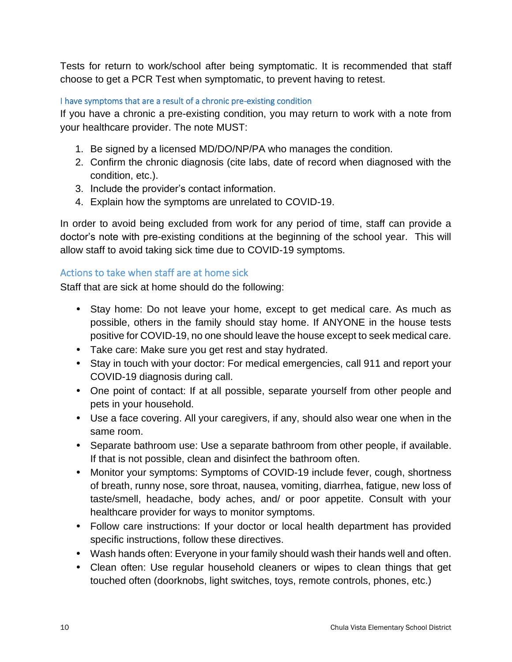Tests for return to work/school after being symptomatic. It is recommended that staff choose to get a PCR Test when symptomatic, to prevent having to retest.

#### I have symptoms that are a result of a chronic pre-existing condition

If you have a chronic a pre-existing condition, you may return to work with a note from your healthcare provider. The note MUST:

- 1. Be signed by a licensed MD/DO/NP/PA who manages the condition.
- 2. Confirm the chronic diagnosis (cite labs, date of record when diagnosed with the condition, etc.).
- 3. Include the provider's contact information.
- 4. Explain how the symptoms are unrelated to COVID-19.

In order to avoid being excluded from work for any period of time, staff can provide a doctor's note with pre-existing conditions at the beginning of the school year. This will allow staff to avoid taking sick time due to COVID-19 symptoms.

#### Actions to take when staff are at home sick

Staff that are sick at home should do the following:

- Stay home: Do not leave your home, except to get medical care. As much as possible, others in the family should stay home. If ANYONE in the house tests positive for COVID-19, no one should leave the house except to seek medical care.
- Take care: Make sure you get rest and stay hydrated.
- Stay in touch with your doctor: For medical emergencies, call 911 and report your COVID-19 diagnosis during call.
- One point of contact: If at all possible, separate yourself from other people and pets in your household.
- Use a face covering. All your caregivers, if any, should also wear one when in the same room.
- Separate bathroom use: Use a separate bathroom from other people, if available. If that is not possible, clean and disinfect the bathroom often.
- Monitor your symptoms: Symptoms of COVID-19 include fever, cough, shortness of breath, runny nose, sore throat, nausea, vomiting, diarrhea, fatigue, new loss of taste/smell, headache, body aches, and/ or poor appetite. Consult with your healthcare provider for ways to monitor symptoms.
- Follow care instructions: If your doctor or local health department has provided specific instructions, follow these directives.
- Wash hands often: Everyone in your family should wash their hands well and often.
- Clean often: Use regular household cleaners or wipes to clean things that get touched often (doorknobs, light switches, toys, remote controls, phones, etc.)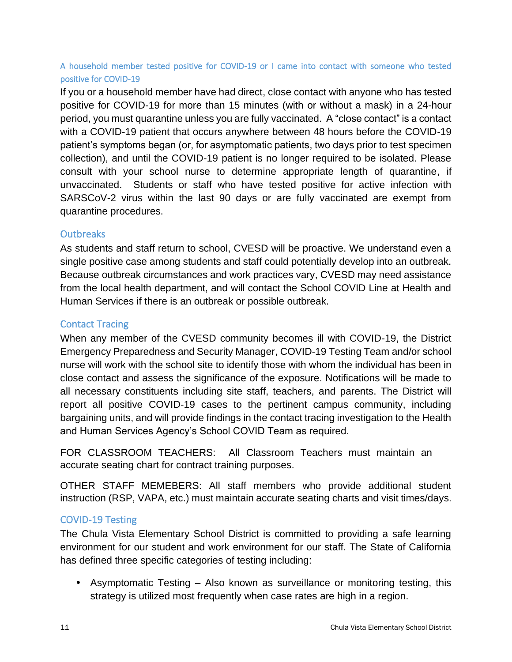#### A household member tested positive for COVID-19 or I came into contact with someone who tested positive for COVID-19

If you or a household member have had direct, close contact with anyone who has tested positive for COVID-19 for more than 15 minutes (with or without a mask) in a 24-hour period, you must quarantine unless you are fully vaccinated. A "close contact" is a contact with a COVID-19 patient that occurs anywhere between 48 hours before the COVID-19 patient's symptoms began (or, for asymptomatic patients, two days prior to test specimen collection), and until the COVID-19 patient is no longer required to be isolated. Please consult with your school nurse to determine appropriate length of quarantine, if unvaccinated. Students or staff who have tested positive for active infection with SARSCoV-2 virus within the last 90 days or are fully vaccinated are exempt from quarantine procedures.

#### Outbreaks

As students and staff return to school, CVESD will be proactive. We understand even a single positive case among students and staff could potentially develop into an outbreak. Because outbreak circumstances and work practices vary, CVESD may need assistance from the local health department, and will contact the School COVID Line at Health and Human Services if there is an outbreak or possible outbreak.

#### Contact Tracing

When any member of the CVESD community becomes ill with COVID-19, the District Emergency Preparedness and Security Manager, COVID-19 Testing Team and/or school nurse will work with the school site to identify those with whom the individual has been in close contact and assess the significance of the exposure. Notifications will be made to all necessary constituents including site staff, teachers, and parents. The District will report all positive COVID-19 cases to the pertinent campus community, including bargaining units, and will provide findings in the contact tracing investigation to the Health and Human Services Agency's School COVID Team as required.

FOR CLASSROOM TEACHERS: All Classroom Teachers must maintain an accurate seating chart for contract training purposes.

OTHER STAFF MEMEBERS: All staff members who provide additional student instruction (RSP, VAPA, etc.) must maintain accurate seating charts and visit times/days.

#### COVID-19 Testing

The Chula Vista Elementary School District is committed to providing a safe learning environment for our student and work environment for our staff. The State of California has defined three specific categories of testing including:

• Asymptomatic Testing – Also known as surveillance or monitoring testing, this strategy is utilized most frequently when case rates are high in a region.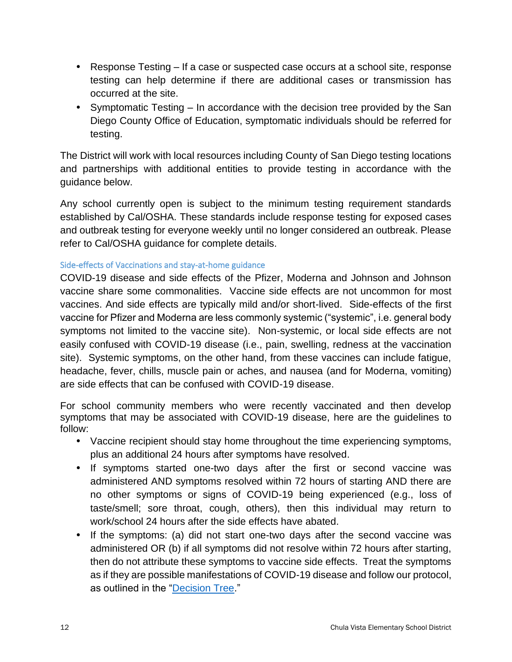- Response Testing If a case or suspected case occurs at a school site, response testing can help determine if there are additional cases or transmission has occurred at the site.
- Symptomatic Testing In accordance with the decision tree provided by the San Diego County Office of Education, symptomatic individuals should be referred for testing.

The District will work with local resources including County of San Diego testing locations and partnerships with additional entities to provide testing in accordance with the guidance below.

Any school currently open is subject to the minimum testing requirement standards established by Cal/OSHA. These standards include response testing for exposed cases and outbreak testing for everyone weekly until no longer considered an outbreak. Please refer to Cal/OSHA guidance for complete details.

#### Side-effects of Vaccinations and stay-at-home guidance

COVID-19 disease and side effects of the Pfizer, Moderna and Johnson and Johnson vaccine share some commonalities. Vaccine side effects are not uncommon for most vaccines. And side effects are typically mild and/or short-lived. Side-effects of the first vaccine for Pfizer and Moderna are less commonly systemic ("systemic", i.e. general body symptoms not limited to the vaccine site). Non-systemic, or local side effects are not easily confused with COVID-19 disease (i.e., pain, swelling, redness at the vaccination site). Systemic symptoms, on the other hand, from these vaccines can include fatigue, headache, fever, chills, muscle pain or aches, and nausea (and for Moderna, vomiting) are side effects that can be confused with COVID-19 disease.

For school community members who were recently vaccinated and then develop symptoms that may be associated with COVID-19 disease, here are the guidelines to follow:

- Vaccine recipient should stay home throughout the time experiencing symptoms, plus an additional 24 hours after symptoms have resolved.
- If symptoms started one-two days after the first or second vaccine was administered AND symptoms resolved within 72 hours of starting AND there are no other symptoms or signs of COVID-19 being experienced (e.g., loss of taste/smell; sore throat, cough, others), then this individual may return to work/school 24 hours after the side effects have abated.
- If the symptoms: (a) did not start one-two days after the second vaccine was administered OR (b) if all symptoms did not resolve within 72 hours after starting, then do not attribute these symptoms to vaccine side effects. Treat the symptoms as if they are possible manifestations of COVID-19 disease and follow our protocol, as outlined in the ["Decision Tree.](https://covid-19.sdcoe.net/Portals/covid-19/Documents/Health%20Practices/COVID-19-Decision-Tree.pdf)"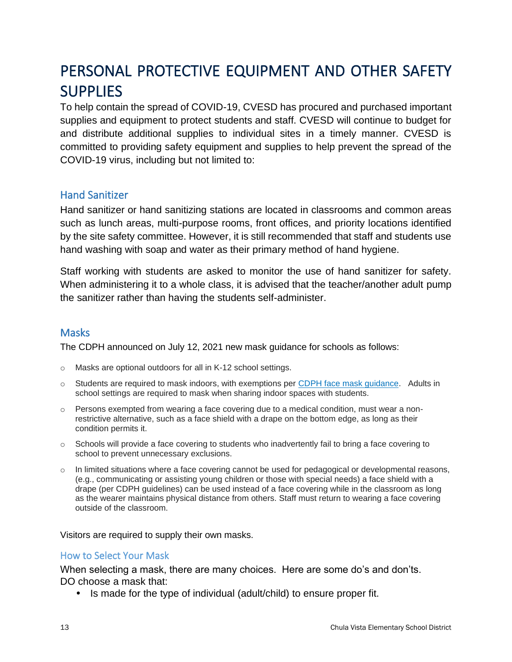# PERSONAL PROTECTIVE EQUIPMENT AND OTHER SAFETY **SUPPLIES**

To help contain the spread of COVID-19, CVESD has procured and purchased important supplies and equipment to protect students and staff. CVESD will continue to budget for and distribute additional supplies to individual sites in a timely manner. CVESD is committed to providing safety equipment and supplies to help prevent the spread of the COVID-19 virus, including but not limited to:

#### Hand Sanitizer

Hand sanitizer or hand sanitizing stations are located in classrooms and common areas such as lunch areas, multi-purpose rooms, front offices, and priority locations identified by the site safety committee. However, it is still recommended that staff and students use hand washing with soap and water as their primary method of hand hygiene.

Staff working with students are asked to monitor the use of hand sanitizer for safety. When administering it to a whole class, it is advised that the teacher/another adult pump the sanitizer rather than having the students self-administer.

#### Masks

The CDPH announced on July 12, 2021 new mask guidance for schools as follows:

- o Masks are optional outdoors for all in K-12 school settings.
- o Students are required to mask indoors, with exemptions per [CDPH face mask guidance.](https://www.cdph.ca.gov/Programs/CID/DCDC/Pages/COVID-19/guidance-for-face-coverings.aspx) Adults in school settings are required to mask when sharing indoor spaces with students.
- o Persons exempted from wearing a face covering due to a medical condition, must wear a nonrestrictive alternative, such as a face shield with a drape on the bottom edge, as long as their condition permits it.
- $\circ$  Schools will provide a face covering to students who inadvertently fail to bring a face covering to school to prevent unnecessary exclusions.
- $\circ$  In limited situations where a face covering cannot be used for pedagogical or developmental reasons, (e.g., communicating or assisting young children or those with special needs) a face shield with a drape (per CDPH guidelines) can be used instead of a face covering while in the classroom as long as the wearer maintains physical distance from others. Staff must return to wearing a face covering outside of the classroom.

Visitors are required to supply their own masks.

#### How to Select Your Mask

When selecting a mask, there are many choices. Here are some do's and don'ts. DO choose a mask that:

• Is made for the type of individual (adult/child) to ensure proper fit.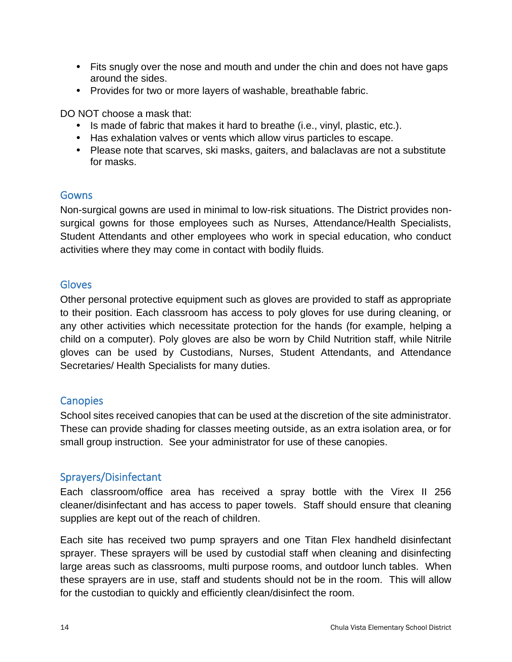- Fits snugly over the nose and mouth and under the chin and does not have gaps around the sides.
- Provides for two or more layers of washable, breathable fabric.

DO NOT choose a mask that:

- Is made of fabric that makes it hard to breathe (i.e., vinyl, plastic, etc.).
- Has exhalation valves or vents which allow virus particles to escape.
- Please note that scarves, ski masks, gaiters, and balaclavas are not a substitute for masks.

#### Gowns

Non-surgical gowns are used in minimal to low-risk situations. The District provides nonsurgical gowns for those employees such as Nurses, Attendance/Health Specialists, Student Attendants and other employees who work in special education, who conduct activities where they may come in contact with bodily fluids.

#### **Gloves**

Other personal protective equipment such as gloves are provided to staff as appropriate to their position. Each classroom has access to poly gloves for use during cleaning, or any other activities which necessitate protection for the hands (for example, helping a child on a computer). Poly gloves are also be worn by Child Nutrition staff, while Nitrile gloves can be used by Custodians, Nurses, Student Attendants, and Attendance Secretaries/ Health Specialists for many duties.

#### **Canopies**

School sites received canopies that can be used at the discretion of the site administrator. These can provide shading for classes meeting outside, as an extra isolation area, or for small group instruction. See your administrator for use of these canopies.

#### Sprayers/Disinfectant

Each classroom/office area has received a spray bottle with the Virex II 256 cleaner/disinfectant and has access to paper towels. Staff should ensure that cleaning supplies are kept out of the reach of children.

Each site has received two pump sprayers and one Titan Flex handheld disinfectant sprayer. These sprayers will be used by custodial staff when cleaning and disinfecting large areas such as classrooms, multi purpose rooms, and outdoor lunch tables. When these sprayers are in use, staff and students should not be in the room. This will allow for the custodian to quickly and efficiently clean/disinfect the room.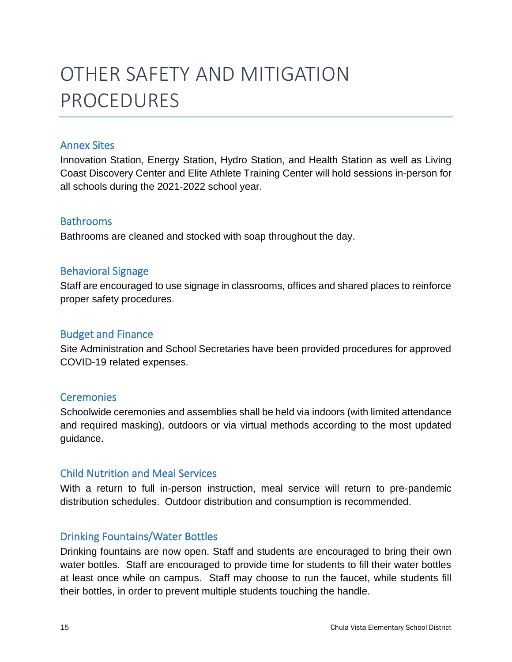# OTHER SAFETY AND MITIGATION PROCEDURES

#### Annex Sites

Innovation Station, Energy Station, Hydro Station, and Health Station as well as Living Coast Discovery Center and Elite Athlete Training Center will hold sessions in-person for all schools during the 2021-2022 school year.

#### **Bathrooms**

Bathrooms are cleaned and stocked with soap throughout the day.

### Behavioral Signage

Staff are encouraged to use signage in classrooms, offices and shared places to reinforce proper safety procedures.

### Budget and Finance

Site Administration and School Secretaries have been provided procedures for approved COVID-19 related expenses.

#### **Ceremonies**

Schoolwide ceremonies and assemblies shall be held via indoors (with limited attendance and required masking), outdoors or via virtual methods according to the most updated guidance.

#### Child Nutrition and Meal Services

With a return to full in-person instruction, meal service will return to pre-pandemic distribution schedules. Outdoor distribution and consumption is recommended.

## Drinking Fountains/Water Bottles

Drinking fountains are now open. Staff and students are encouraged to bring their own water bottles. Staff are encouraged to provide time for students to fill their water bottles at least once while on campus. Staff may choose to run the faucet, while students fill their bottles, in order to prevent multiple students touching the handle.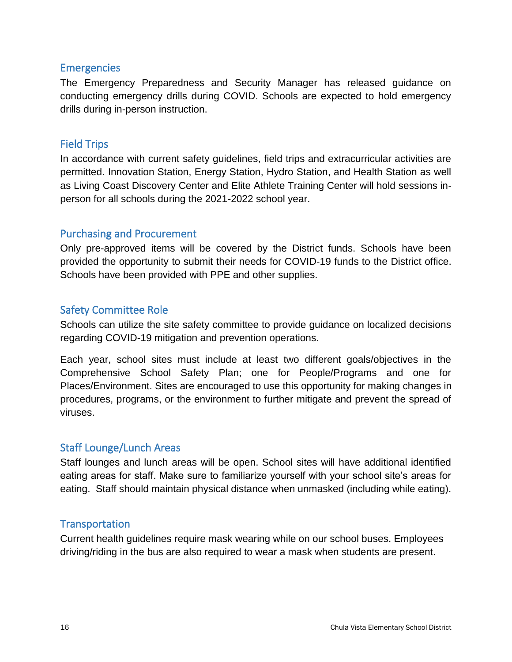#### **Emergencies**

The Emergency Preparedness and Security Manager has released guidance on conducting emergency drills during COVID. Schools are expected to hold emergency drills during in-person instruction.

#### Field Trips

In accordance with current safety guidelines, field trips and extracurricular activities are permitted. Innovation Station, Energy Station, Hydro Station, and Health Station as well as Living Coast Discovery Center and Elite Athlete Training Center will hold sessions inperson for all schools during the 2021-2022 school year.

### Purchasing and Procurement

Only pre-approved items will be covered by the District funds. Schools have been provided the opportunity to submit their needs for COVID-19 funds to the District office. Schools have been provided with PPE and other supplies.

### Safety Committee Role

Schools can utilize the site safety committee to provide guidance on localized decisions regarding COVID-19 mitigation and prevention operations.

Each year, school sites must include at least two different goals/objectives in the Comprehensive School Safety Plan; one for People/Programs and one for Places/Environment. Sites are encouraged to use this opportunity for making changes in procedures, programs, or the environment to further mitigate and prevent the spread of viruses.

#### Staff Lounge/Lunch Areas

Staff lounges and lunch areas will be open. School sites will have additional identified eating areas for staff. Make sure to familiarize yourself with your school site's areas for eating. Staff should maintain physical distance when unmasked (including while eating).

#### **Transportation**

Current health guidelines require mask wearing while on our school buses. Employees driving/riding in the bus are also required to wear a mask when students are present.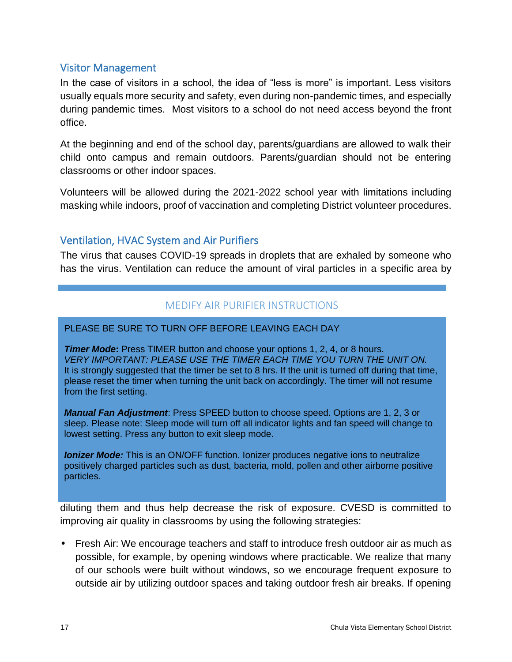#### Visitor Management

In the case of visitors in a school, the idea of "less is more" is important. Less visitors usually equals more security and safety, even during non-pandemic times, and especially during pandemic times. Most visitors to a school do not need access beyond the front office.

At the beginning and end of the school day, parents/guardians are allowed to walk their child onto campus and remain outdoors. Parents/guardian should not be entering classrooms or other indoor spaces.

Volunteers will be allowed during the 2021-2022 school year with limitations including masking while indoors, proof of vaccination and completing District volunteer procedures.

### Ventilation, HVAC System and Air Purifiers

The virus that causes COVID-19 spreads in droplets that are exhaled by someone who has the virus. Ventilation can reduce the amount of viral particles in a specific area by

### MEDIFY AIR PURIFIER INSTRUCTIONS

#### PLEASE BE SURE TO TURN OFF BEFORE LEAVING EACH DAY

*Timer Mode:* Press TIMER button and choose your options 1, 2, 4, or 8 hours. *VERY IMPORTANT: PLEASE USE THE TIMER EACH TIME YOU TURN THE UNIT ON.* It is strongly suggested that the timer be set to 8 hrs. If the unit is turned off during that time, please reset the timer when turning the unit back on accordingly. The timer will not resume from the first setting.

*Manual Fan Adjustment*: Press SPEED button to choose speed. Options are 1, 2, 3 or sleep. Please note: Sleep mode will turn off all indicator lights and fan speed will change to lowest setting. Press any button to exit sleep mode.

*Ionizer Mode:* This is an ON/OFF function. Ionizer produces negative ions to neutralize positively charged particles such as dust, bacteria, mold, pollen and other airborne positive particles.

diluting them and thus help decrease the risk of exposure. CVESD is committed to improving air quality in classrooms by using the following strategies:

• Fresh Air: We encourage teachers and staff to introduce fresh outdoor air as much as possible, for example, by opening windows where practicable. We realize that many of our schools were built without windows, so we encourage frequent exposure to outside air by utilizing outdoor spaces and taking outdoor fresh air breaks. If opening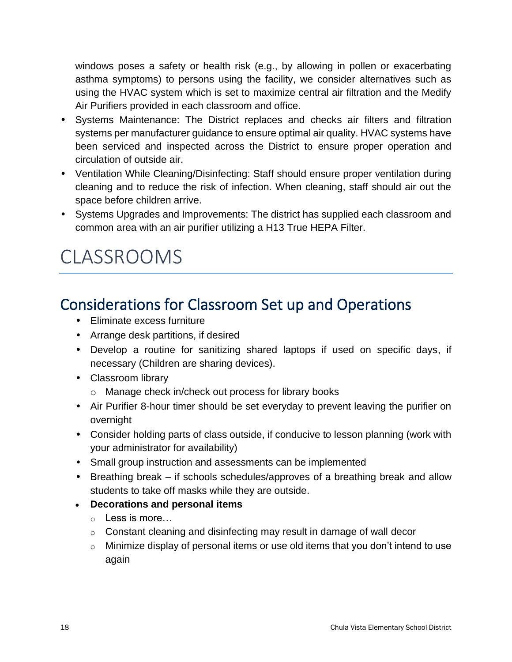windows poses a safety or health risk (e.g., by allowing in pollen or exacerbating asthma symptoms) to persons using the facility, we consider alternatives such as using the HVAC system which is set to maximize central air filtration and the Medify Air Purifiers provided in each classroom and office.

- Systems Maintenance: The District replaces and checks air filters and filtration systems per manufacturer guidance to ensure optimal air quality. HVAC systems have been serviced and inspected across the District to ensure proper operation and circulation of outside air.
- Ventilation While Cleaning/Disinfecting: Staff should ensure proper ventilation during cleaning and to reduce the risk of infection. When cleaning, staff should air out the space before children arrive.
- Systems Upgrades and Improvements: The district has supplied each classroom and common area with an air purifier utilizing a H13 True HEPA Filter.

# CLASSROOMS

# Considerations for Classroom Set up and Operations

- Eliminate excess furniture
- Arrange desk partitions, if desired
- Develop a routine for sanitizing shared laptops if used on specific days, if necessary (Children are sharing devices).
- Classroom library
	- o Manage check in/check out process for library books
- Air Purifier 8-hour timer should be set everyday to prevent leaving the purifier on overnight
- Consider holding parts of class outside, if conducive to lesson planning (work with your administrator for availability)
- Small group instruction and assessments can be implemented
- Breathing break if schools schedules/approves of a breathing break and allow students to take off masks while they are outside.
- **Decorations and personal items**
	- o Less is more…
	- $\circ$  Constant cleaning and disinfecting may result in damage of wall decor
	- $\circ$  Minimize display of personal items or use old items that you don't intend to use again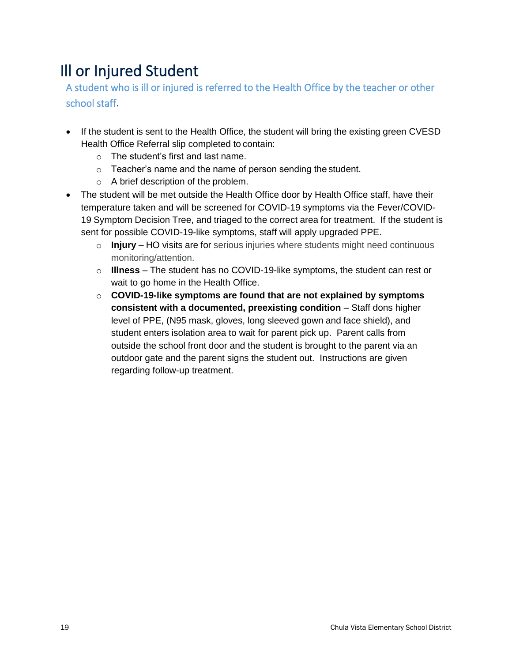# Ill or Injured Student

A student who is ill or injured is referred to the Health Office by the teacher or other school staff.

- If the student is sent to the Health Office, the student will bring the existing green CVESD Health Office Referral slip completed to contain:
	- o The student's first and last name.
	- o Teacher's name and the name of person sending the student.
	- o A brief description of the problem.
- The student will be met outside the Health Office door by Health Office staff, have their temperature taken and will be screened for COVID-19 symptoms via the Fever/COVID-19 Symptom Decision Tree, and triaged to the correct area for treatment. If the student is sent for possible COVID-19-like symptoms, staff will apply upgraded PPE.
	- o **Injury** HO visits are for serious injuries where students might need continuous monitoring/attention.
	- o **Illness**  The student has no COVID-19-like symptoms, the student can rest or wait to go home in the Health Office.
	- o **COVID-19-like symptoms are found that are not explained by symptoms consistent with a documented, preexisting condition - Staff dons higher** level of PPE, (N95 mask, gloves, long sleeved gown and face shield), and student enters isolation area to wait for parent pick up. Parent calls from outside the school front door and the student is brought to the parent via an outdoor gate and the parent signs the student out. Instructions are given regarding follow-up treatment.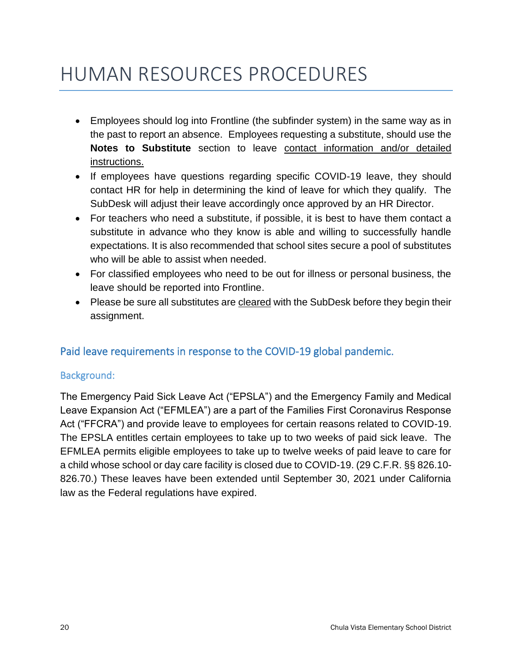# HUMAN RESOURCES PROCEDURES

- Employees should log into Frontline (the subfinder system) in the same way as in the past to report an absence. Employees requesting a substitute, should use the **Notes to Substitute** section to leave contact information and/or detailed instructions.
- If employees have questions regarding specific COVID-19 leave, they should contact HR for help in determining the kind of leave for which they qualify. The SubDesk will adjust their leave accordingly once approved by an HR Director.
- For teachers who need a substitute, if possible, it is best to have them contact a substitute in advance who they know is able and willing to successfully handle expectations. It is also recommended that school sites secure a pool of substitutes who will be able to assist when needed.
- For classified employees who need to be out for illness or personal business, the leave should be reported into Frontline.
- Please be sure all substitutes are cleared with the SubDesk before they begin their assignment.

## Paid leave requirements in response to the COVID-19 global pandemic.

#### Background:

The Emergency Paid Sick Leave Act ("EPSLA") and the Emergency Family and Medical Leave Expansion Act ("EFMLEA") are a part of the Families First Coronavirus Response Act ("FFCRA") and provide leave to employees for certain reasons related to COVID-19. The EPSLA entitles certain employees to take up to two weeks of paid sick leave. The EFMLEA permits eligible employees to take up to twelve weeks of paid leave to care for a child whose school or day care facility is closed due to COVID-19. (29 C.F.R. §§ 826.10- 826.70.) These leaves have been extended until September 30, 2021 under California law as the Federal regulations have expired.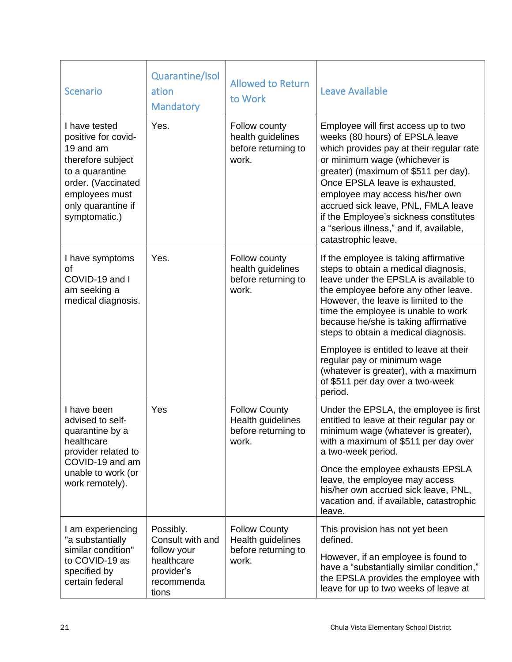| <b>Scenario</b>                                                                                                                                                          | Quarantine/Isol<br>ation<br><b>Mandatory</b>                                                    | <b>Allowed to Return</b><br>to Work                                       | Leave Available                                                                                                                                                                                                                                                                                                                                                                                                                                                                                |  |
|--------------------------------------------------------------------------------------------------------------------------------------------------------------------------|-------------------------------------------------------------------------------------------------|---------------------------------------------------------------------------|------------------------------------------------------------------------------------------------------------------------------------------------------------------------------------------------------------------------------------------------------------------------------------------------------------------------------------------------------------------------------------------------------------------------------------------------------------------------------------------------|--|
| I have tested<br>positive for covid-<br>19 and am<br>therefore subject<br>to a quarantine<br>order. (Vaccinated<br>employees must<br>only quarantine if<br>symptomatic.) | Yes.                                                                                            | Follow county<br>health guidelines<br>before returning to<br>work.        | Employee will first access up to two<br>weeks (80 hours) of EPSLA leave<br>which provides pay at their regular rate<br>or minimum wage (whichever is<br>greater) (maximum of \$511 per day).<br>Once EPSLA leave is exhausted,<br>employee may access his/her own<br>accrued sick leave, PNL, FMLA leave<br>if the Employee's sickness constitutes<br>a "serious illness," and if, available,<br>catastrophic leave.                                                                           |  |
| I have symptoms<br>οf<br>COVID-19 and I<br>am seeking a<br>medical diagnosis.                                                                                            | Yes.                                                                                            | Follow county<br>health guidelines<br>before returning to<br>work.        | If the employee is taking affirmative<br>steps to obtain a medical diagnosis,<br>leave under the EPSLA is available to<br>the employee before any other leave.<br>However, the leave is limited to the<br>time the employee is unable to work<br>because he/she is taking affirmative<br>steps to obtain a medical diagnosis.<br>Employee is entitled to leave at their<br>regular pay or minimum wage<br>(whatever is greater), with a maximum<br>of \$511 per day over a two-week<br>period. |  |
| I have been<br>advised to self-<br>quarantine by a<br>healthcare<br>provider related to<br>COVID-19 and am<br>unable to work (or<br>work remotely).                      | Yes                                                                                             | <b>Follow County</b><br>Health guidelines<br>before returning to<br>work. | Under the EPSLA, the employee is first<br>entitled to leave at their regular pay or<br>minimum wage (whatever is greater),<br>with a maximum of \$511 per day over<br>a two-week period.<br>Once the employee exhausts EPSLA<br>leave, the employee may access<br>his/her own accrued sick leave, PNL,<br>vacation and, if available, catastrophic<br>leave.                                                                                                                                   |  |
| I am experiencing<br>"a substantially<br>similar condition"<br>to COVID-19 as<br>specified by<br>certain federal                                                         | Possibly.<br>Consult with and<br>follow your<br>healthcare<br>provider's<br>recommenda<br>tions | <b>Follow County</b><br>Health guidelines<br>before returning to<br>work. | This provision has not yet been<br>defined.<br>However, if an employee is found to<br>have a "substantially similar condition,"<br>the EPSLA provides the employee with<br>leave for up to two weeks of leave at                                                                                                                                                                                                                                                                               |  |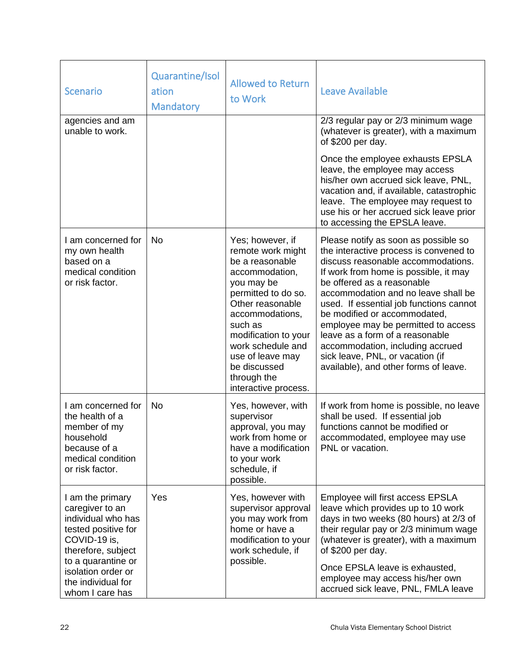| <b>Scenario</b>                                                                                                                                                                                             | Quarantine/Isol<br>ation<br><b>Mandatory</b> | <b>Allowed to Return</b><br>to Work                                                                                                                                                                                                                                                       | Leave Available                                                                                                                                                                                                                                                                                                                                                                                                                                                                                          |  |
|-------------------------------------------------------------------------------------------------------------------------------------------------------------------------------------------------------------|----------------------------------------------|-------------------------------------------------------------------------------------------------------------------------------------------------------------------------------------------------------------------------------------------------------------------------------------------|----------------------------------------------------------------------------------------------------------------------------------------------------------------------------------------------------------------------------------------------------------------------------------------------------------------------------------------------------------------------------------------------------------------------------------------------------------------------------------------------------------|--|
| agencies and am<br>unable to work.                                                                                                                                                                          |                                              |                                                                                                                                                                                                                                                                                           | 2/3 regular pay or 2/3 minimum wage<br>(whatever is greater), with a maximum<br>of \$200 per day.                                                                                                                                                                                                                                                                                                                                                                                                        |  |
|                                                                                                                                                                                                             |                                              |                                                                                                                                                                                                                                                                                           | Once the employee exhausts EPSLA<br>leave, the employee may access<br>his/her own accrued sick leave, PNL,<br>vacation and, if available, catastrophic<br>leave. The employee may request to<br>use his or her accrued sick leave prior<br>to accessing the EPSLA leave.                                                                                                                                                                                                                                 |  |
| I am concerned for<br>my own health<br>based on a<br>medical condition<br>or risk factor.                                                                                                                   | <b>No</b>                                    | Yes; however, if<br>remote work might<br>be a reasonable<br>accommodation,<br>you may be<br>permitted to do so.<br>Other reasonable<br>accommodations,<br>such as<br>modification to your<br>work schedule and<br>use of leave may<br>be discussed<br>through the<br>interactive process. | Please notify as soon as possible so<br>the interactive process is convened to<br>discuss reasonable accommodations.<br>If work from home is possible, it may<br>be offered as a reasonable<br>accommodation and no leave shall be<br>used. If essential job functions cannot<br>be modified or accommodated,<br>employee may be permitted to access<br>leave as a form of a reasonable<br>accommodation, including accrued<br>sick leave, PNL, or vacation (if<br>available), and other forms of leave. |  |
| I am concerned for<br>the health of a<br>member of my<br>household<br>because of a<br>medical condition<br>or risk factor.                                                                                  | <b>No</b>                                    | Yes, however, with<br>supervisor<br>approval, you may<br>work from home or<br>have a modification<br>to your work<br>schedule, if<br>possible.                                                                                                                                            | If work from home is possible, no leave<br>shall be used. If essential job<br>functions cannot be modified or<br>accommodated, employee may use<br>PNL or vacation.                                                                                                                                                                                                                                                                                                                                      |  |
| I am the primary<br>caregiver to an<br>individual who has<br>tested positive for<br>COVID-19 is,<br>therefore, subject<br>to a quarantine or<br>isolation order or<br>the individual for<br>whom I care has | Yes                                          | Yes, however with<br>supervisor approval<br>you may work from<br>home or have a<br>modification to your<br>work schedule, if<br>possible.                                                                                                                                                 | Employee will first access EPSLA<br>leave which provides up to 10 work<br>days in two weeks (80 hours) at 2/3 of<br>their regular pay or 2/3 minimum wage<br>(whatever is greater), with a maximum<br>of \$200 per day.<br>Once EPSLA leave is exhausted,<br>employee may access his/her own<br>accrued sick leave, PNL, FMLA leave                                                                                                                                                                      |  |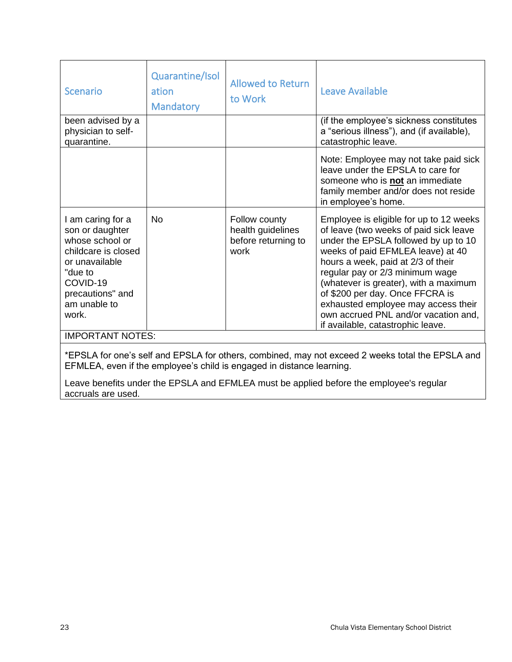| <b>Scenario</b>                                                                                                                                                                                                                                                                                                                                                                                                                                                                                                                                                                                                                          | Quarantine/Isol<br>ation<br><b>Mandatory</b> | <b>Allowed to Return</b><br>to Work                               | Leave Available                                                                                                                                                                                                                                                                                                                                                                                                                         |
|------------------------------------------------------------------------------------------------------------------------------------------------------------------------------------------------------------------------------------------------------------------------------------------------------------------------------------------------------------------------------------------------------------------------------------------------------------------------------------------------------------------------------------------------------------------------------------------------------------------------------------------|----------------------------------------------|-------------------------------------------------------------------|-----------------------------------------------------------------------------------------------------------------------------------------------------------------------------------------------------------------------------------------------------------------------------------------------------------------------------------------------------------------------------------------------------------------------------------------|
| been advised by a<br>physician to self-<br>quarantine.                                                                                                                                                                                                                                                                                                                                                                                                                                                                                                                                                                                   |                                              |                                                                   | (if the employee's sickness constitutes<br>a "serious illness"), and (if available),<br>catastrophic leave.                                                                                                                                                                                                                                                                                                                             |
|                                                                                                                                                                                                                                                                                                                                                                                                                                                                                                                                                                                                                                          |                                              |                                                                   | Note: Employee may not take paid sick<br>leave under the EPSLA to care for<br>someone who is not an immediate<br>family member and/or does not reside<br>in employee's home.                                                                                                                                                                                                                                                            |
| I am caring for a<br>son or daughter<br>whose school or<br>childcare is closed<br>or unavailable<br>"due to<br>COVID-19<br>precautions" and<br>am unable to<br>work.                                                                                                                                                                                                                                                                                                                                                                                                                                                                     | <b>No</b>                                    | Follow county<br>health guidelines<br>before returning to<br>work | Employee is eligible for up to 12 weeks<br>of leave (two weeks of paid sick leave<br>under the EPSLA followed by up to 10<br>weeks of paid EFMLEA leave) at 40<br>hours a week, paid at 2/3 of their<br>regular pay or 2/3 minimum wage<br>(whatever is greater), with a maximum<br>of \$200 per day. Once FFCRA is<br>exhausted employee may access their<br>own accrued PNL and/or vacation and,<br>if available, catastrophic leave. |
| <b>IMPORTANT NOTES:</b>                                                                                                                                                                                                                                                                                                                                                                                                                                                                                                                                                                                                                  |                                              |                                                                   |                                                                                                                                                                                                                                                                                                                                                                                                                                         |
| *EPSLA for one's self and EPSLA for others, combined, may not exceed 2 weeks total the EPSLA and<br>EFMLEA, even if the employee's child is engaged in distance learning.<br>$\mathcal{L}(\mathcal{L}(\mathcal{L}(\mathcal{L}(\mathcal{L}(\mathcal{L}(\mathcal{L}(\mathcal{L}(\mathcal{L}(\mathcal{L}(\mathcal{L}(\mathcal{L}(\mathcal{L}(\mathcal{L}(\mathcal{L}(\mathcal{L}(\mathcal{L}(\mathcal{L}(\mathcal{L}(\mathcal{L}(\mathcal{L}(\mathcal{L}(\mathcal{L}(\mathcal{L}(\mathcal{L}(\mathcal{L}(\mathcal{L}(\mathcal{L}(\mathcal{L}(\mathcal{L}(\mathcal{L}(\mathcal{L}(\mathcal{L}(\mathcal{L}(\mathcal{L}(\mathcal{L}(\mathcal{$ |                                              |                                                                   |                                                                                                                                                                                                                                                                                                                                                                                                                                         |

Leave benefits under the EPSLA and EFMLEA must be applied before the employee's regular accruals are used.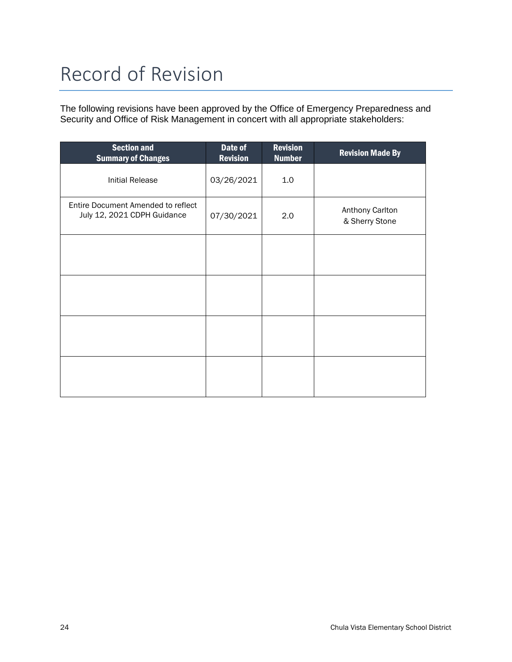# Record of Revision

The following revisions have been approved by the Office of Emergency Preparedness and Security and Office of Risk Management in concert with all appropriate stakeholders:

| <b>Section and</b><br><b>Summary of Changes</b>                   | Date of<br><b>Revision</b> | <b>Revision</b><br><b>Number</b> | <b>Revision Made By</b>           |
|-------------------------------------------------------------------|----------------------------|----------------------------------|-----------------------------------|
| <b>Initial Release</b>                                            | 03/26/2021                 | 1.0                              |                                   |
| Entire Document Amended to reflect<br>July 12, 2021 CDPH Guidance | 07/30/2021                 | 2.0                              | Anthony Carlton<br>& Sherry Stone |
|                                                                   |                            |                                  |                                   |
|                                                                   |                            |                                  |                                   |
|                                                                   |                            |                                  |                                   |
|                                                                   |                            |                                  |                                   |